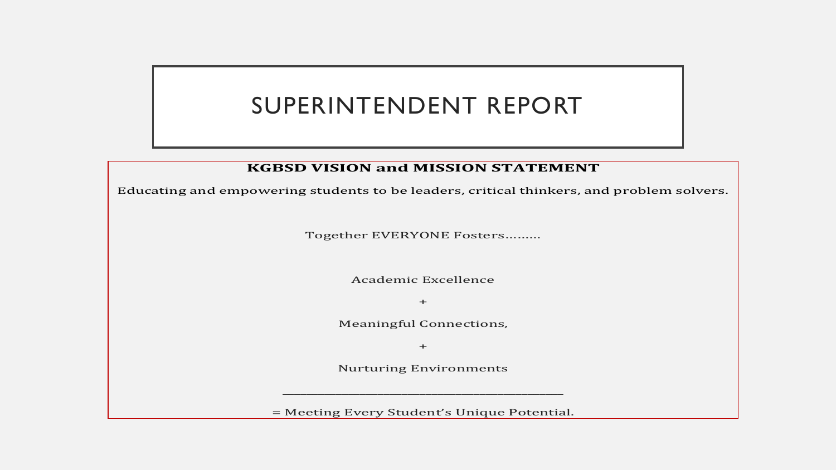## SUPERINTENDENT REPORT

## **KGBSD VISION and MISSION STATEMENT**

Educating and empowering students to be leaders, critical thinkers, and problem solvers.

Together EVERYONE Fosters………

Academic Excellence

 $+$ 

Meaningful Connections,

 $+$ 

Nurturing Environments

\_\_\_\_\_\_\_\_\_\_\_\_\_\_\_\_\_\_\_\_\_\_\_\_\_\_\_\_\_\_\_\_\_\_\_\_\_\_\_\_\_\_\_\_\_\_\_

= Meeting Every Student's Unique Potential.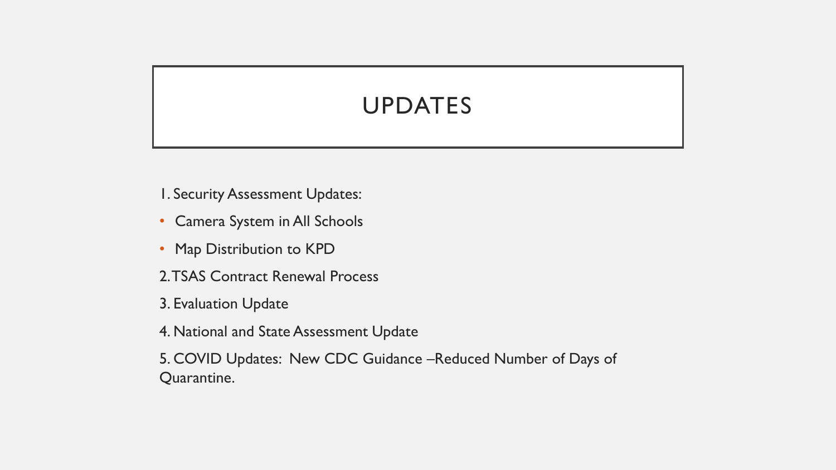## UPDATES

1. Security Assessment Updates:

- Camera System in All Schools
- Map Distribution to KPD
- 2. TSAS Contract Renewal Process
- 3. Evaluation Update
- 4. National and State Assessment Update
- 5. COVID Updates: New CDC Guidance –Reduced Number of Days of Quarantine.